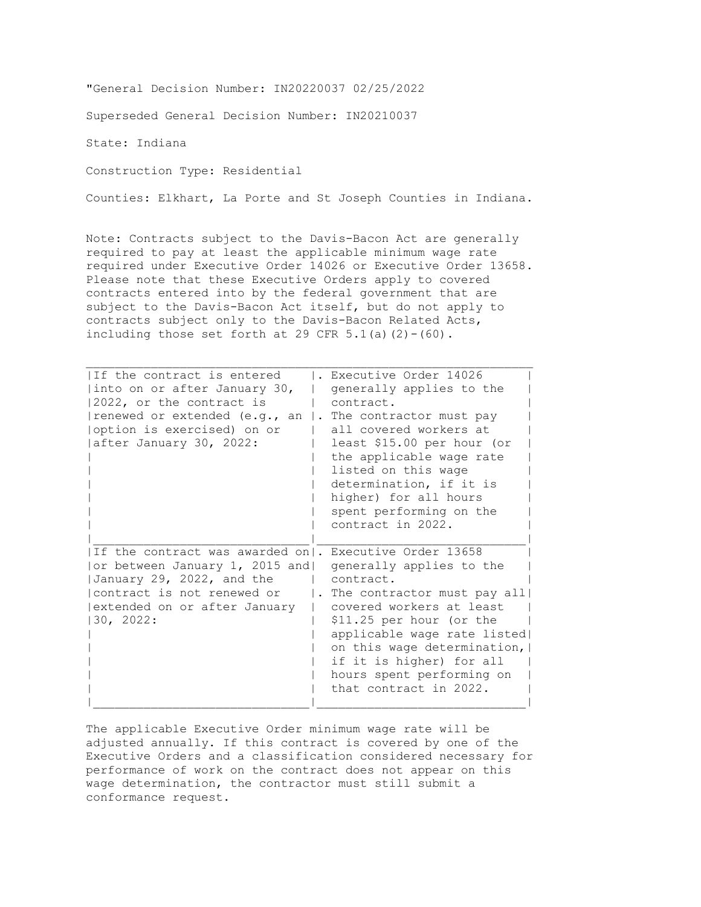"General Decision Number: IN20220037 02/25/2022

Superseded General Decision Number: IN20210037

State: Indiana

Construction Type: Residential

Counties: Elkhart, La Porte and St Joseph Counties in Indiana.

Note: Contracts subject to the Davis-Bacon Act are generally required to pay at least the applicable minimum wage rate required under Executive Order 14026 or Executive Order 13658. Please note that these Executive Orders apply to covered contracts entered into by the federal government that are subject to the Davis-Bacon Act itself, but do not apply to contracts subject only to the Davis-Bacon Related Acts, including those set forth at 29 CFR  $5.1$ (a)(2)-(60).

| IIf the contract is entered<br> into on or after January 30,<br>2022, or the contract is<br>renewed or extended (e.g., an<br>option is exercised) on or <br>after January 30, 2022:                 | Executive Order 14026<br>generally applies to the<br>contract.<br>. The contractor must pay<br>all covered workers at<br>least \$15.00 per hour (or<br>the applicable wage rate<br>listed on this wage<br>determination, if it is<br>higher) for all hours<br>spent performing on the<br>contract in 2022. |
|-----------------------------------------------------------------------------------------------------------------------------------------------------------------------------------------------------|------------------------------------------------------------------------------------------------------------------------------------------------------------------------------------------------------------------------------------------------------------------------------------------------------------|
| If the contract was awarded on  . Executive Order 13658<br>or between January 1, 2015 and <br>January 29, 2022, and the<br>contract is not renewed or<br>extended on or after January<br>130, 2022: | generally applies to the<br>contract.<br>The contractor must pay all<br>covered workers at least<br>\$11.25 per hour (or the<br>applicable wage rate listed<br>on this wage determination,  <br>if it is higher) for all<br>hours spent performing on<br>that contract in 2022.                            |

The applicable Executive Order minimum wage rate will be adjusted annually. If this contract is covered by one of the Executive Orders and a classification considered necessary for performance of work on the contract does not appear on this wage determination, the contractor must still submit a conformance request.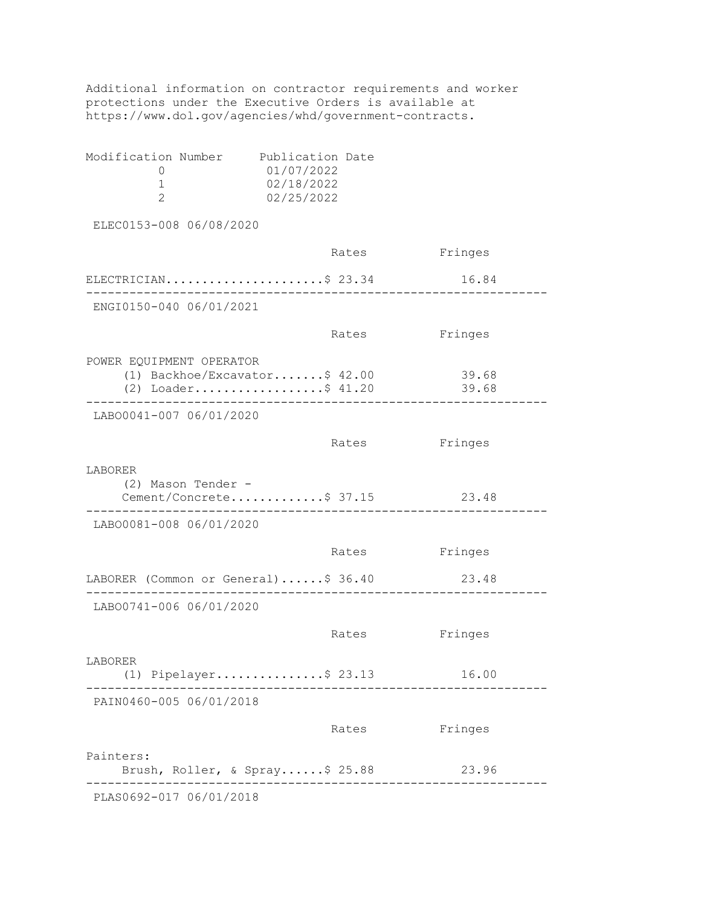Additional information on contractor requirements and worker protections under the Executive Orders is available at https://www.dol.gov/agencies/whd/government-contracts.

| Modification Number | Publication Date |  |
|---------------------|------------------|--|
|                     | 01/07/2022       |  |
|                     | 02/18/2022       |  |
|                     | 02/25/2022       |  |
|                     |                  |  |

ELEC0153-008 06/08/2020

|                                                                                 | Rates | Fringes        |
|---------------------------------------------------------------------------------|-------|----------------|
| ELECTRICIAN\$ 23.34                                                             |       | 16.84          |
| ENGI0150-040 06/01/2021                                                         |       |                |
|                                                                                 | Rates | Fringes        |
| POWER EQUIPMENT OPERATOR<br>(1) Backhoe/Excavator\$ 42.00<br>(2) Loader\$ 41.20 |       | 39.68<br>39.68 |
| LAB00041-007 06/01/2020                                                         |       |                |
|                                                                                 | Rates | Fringes        |
| LABORER<br>(2) Mason Tender -<br>Cement/Concrete\$ 37.15                        |       | 23.48          |
| LAB00081-008 06/01/2020                                                         |       |                |
|                                                                                 | Rates | Fringes        |
| LABORER (Common or General)\$ 36.40                                             |       | 23.48          |
| LAB00741-006 06/01/2020                                                         |       |                |
|                                                                                 | Rates | Fringes        |
| LABORER<br>(1) Pipelayer\$ 23.13                                                |       | 16.00          |
| PAIN0460-005 06/01/2018                                                         |       |                |
|                                                                                 | Rates | Fringes        |
| Painters:<br>Brush, Roller, & Spray\$ 25.88                                     |       | 23.96          |
| PLAS0692-017 06/01/2018                                                         |       |                |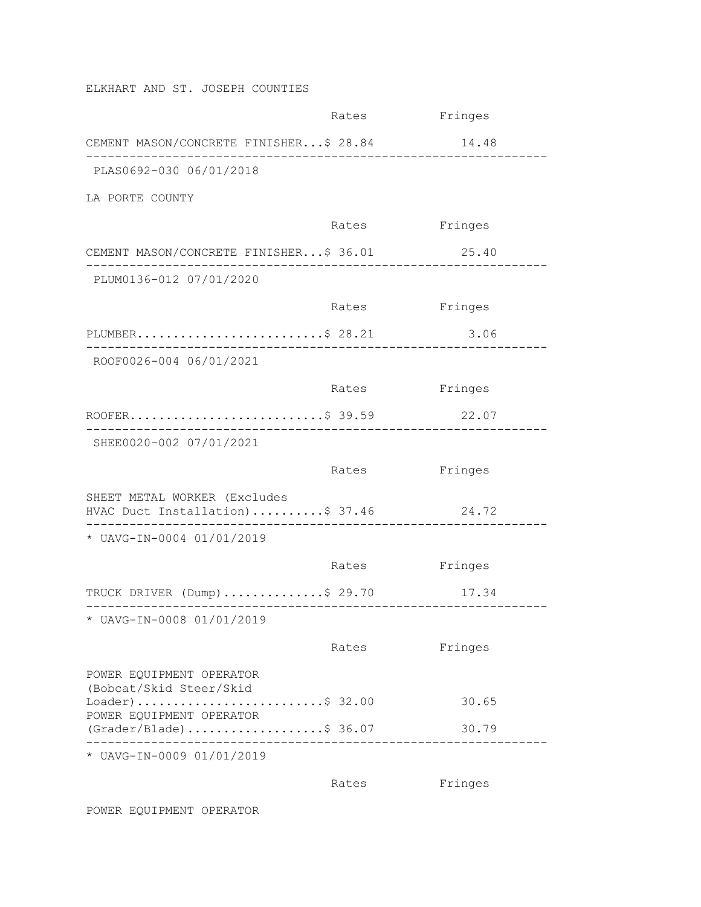ELKHART AND ST. JOSEPH COUNTIES

|                                                                 | Rates | Fringes |
|-----------------------------------------------------------------|-------|---------|
| CEMENT MASON/CONCRETE FINISHER\$ 28.84                          |       | 14.48   |
| PLAS0692-030 06/01/2018                                         |       |         |
| LA PORTE COUNTY                                                 |       |         |
|                                                                 | Rates | Fringes |
| CEMENT MASON/CONCRETE FINISHER\$ 36.01                          |       | 25.40   |
| PLUM0136-012 07/01/2020                                         |       |         |
|                                                                 | Rates | Fringes |
| PLUMBER\$ 28.21                                                 |       | 3.06    |
| ROOF0026-004 06/01/2021                                         |       |         |
|                                                                 | Rates | Fringes |
| ROOFER\$ 39.59                                                  |       | 22.07   |
| SHEE0020-002 07/01/2021                                         |       |         |
|                                                                 | Rates | Fringes |
| SHEET METAL WORKER (Excludes<br>HVAC Duct Installation)\$ 37.46 |       | 24.72   |
| * UAVG-IN-0004 01/01/2019                                       |       |         |
|                                                                 | Rates | Fringes |
| TRUCK DRIVER (Dump) \$ 29.70                                    |       | 17.34   |
| * UAVG-IN-0008 01/01/2019                                       |       |         |
|                                                                 | Rates | Fringes |
| POWER EQUIPMENT OPERATOR                                        |       |         |
| (Bobcat/Skid Steer/Skid<br>$Loader)$ \$ 32.00                   |       | 30.65   |
| POWER EQUIPMENT OPERATOR<br>$(Grader/Black)$ \$ 36.07           |       | 30.79   |
| * UAVG-IN-0009 01/01/2019                                       |       |         |

Rates Fringes

POWER EQUIPMENT OPERATOR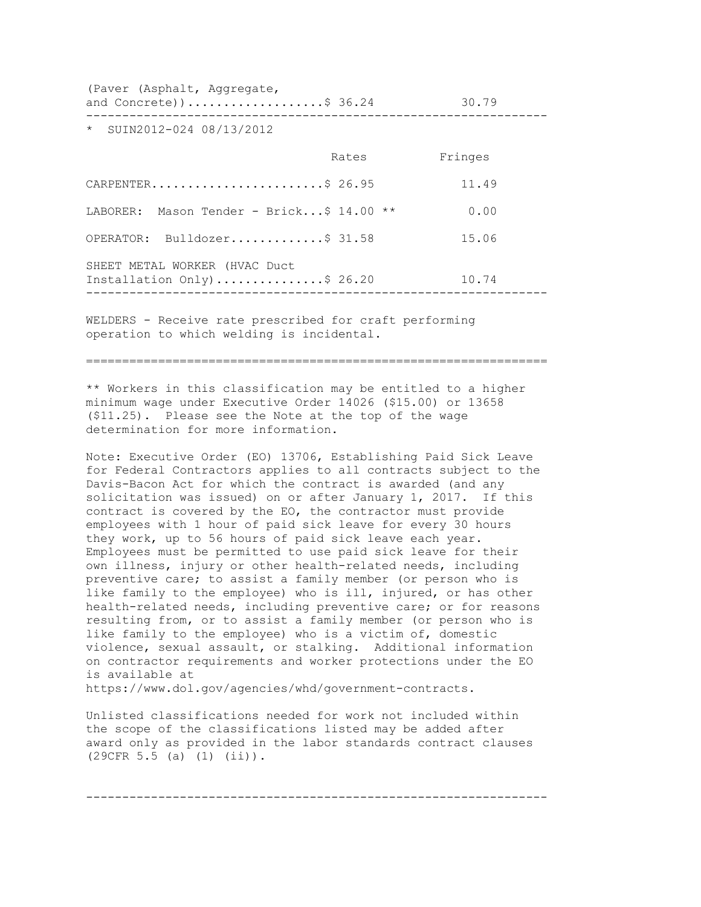(Paver (Asphalt, Aggregate,

and Concrete))....................\$ 36.24 30.79 ----------------------------------------------------------------

\* SUIN2012-024 08/13/2012

| Rates                                                 | Fringes |
|-------------------------------------------------------|---------|
| CARPENTER\$ 26.95                                     | 11.49   |
| LABORER: Mason Tender - Brick\$ 14.00<br>$\star\star$ | 0.00    |
| OPERATOR: Bulldozer\$ 31.58                           | 15.06   |
| Installation $Only)$ \$ 26.20                         | 10.74   |
|                                                       |         |

WELDERS - Receive rate prescribed for craft performing operation to which welding is incidental.

================================================================

\*\* Workers in this classification may be entitled to a higher minimum wage under Executive Order 14026 (\$15.00) or 13658 (\$11.25). Please see the Note at the top of the wage determination for more information.

Note: Executive Order (EO) 13706, Establishing Paid Sick Leave for Federal Contractors applies to all contracts subject to the Davis-Bacon Act for which the contract is awarded (and any solicitation was issued) on or after January 1, 2017. If this contract is covered by the EO, the contractor must provide employees with 1 hour of paid sick leave for every 30 hours they work, up to 56 hours of paid sick leave each year. Employees must be permitted to use paid sick leave for their own illness, injury or other health-related needs, including preventive care; to assist a family member (or person who is like family to the employee) who is ill, injured, or has other health-related needs, including preventive care; or for reasons resulting from, or to assist a family member (or person who is like family to the employee) who is a victim of, domestic violence, sexual assault, or stalking. Additional information on contractor requirements and worker protections under the EO is available at

https://www.dol.gov/agencies/whd/government-contracts.

Unlisted classifications needed for work not included within the scope of the classifications listed may be added after award only as provided in the labor standards contract clauses (29CFR 5.5 (a) (1) (ii)).

----------------------------------------------------------------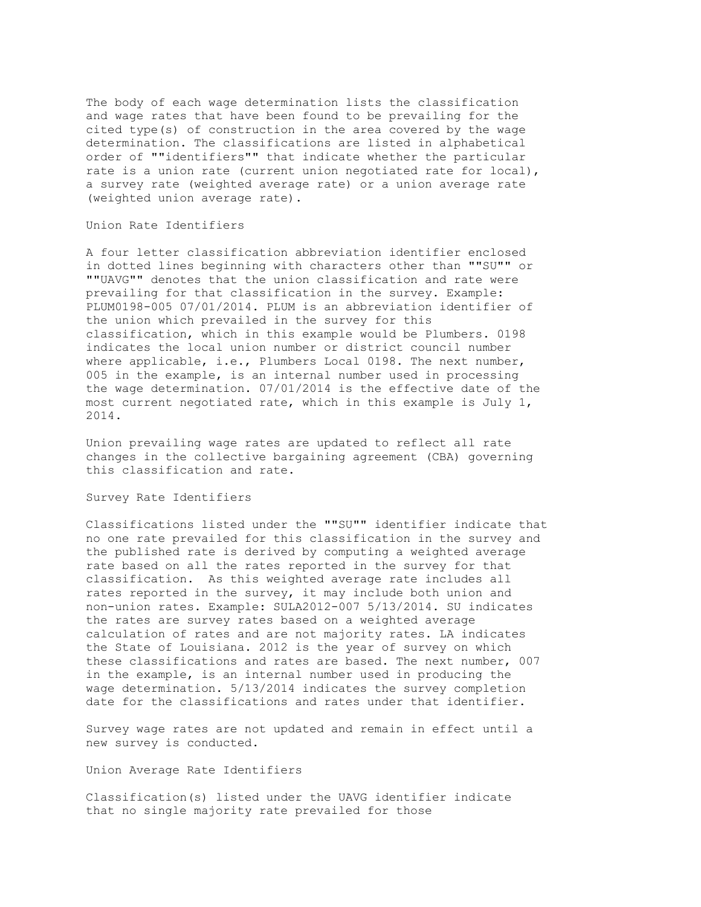The body of each wage determination lists the classification and wage rates that have been found to be prevailing for the cited type(s) of construction in the area covered by the wage determination. The classifications are listed in alphabetical order of ""identifiers"" that indicate whether the particular rate is a union rate (current union negotiated rate for local), a survey rate (weighted average rate) or a union average rate (weighted union average rate).

## Union Rate Identifiers

A four letter classification abbreviation identifier enclosed in dotted lines beginning with characters other than ""SU"" or ""UAVG"" denotes that the union classification and rate were prevailing for that classification in the survey. Example: PLUM0198-005 07/01/2014. PLUM is an abbreviation identifier of the union which prevailed in the survey for this classification, which in this example would be Plumbers. 0198 indicates the local union number or district council number where applicable, i.e., Plumbers Local 0198. The next number, 005 in the example, is an internal number used in processing the wage determination. 07/01/2014 is the effective date of the most current negotiated rate, which in this example is July 1, 2014.

Union prevailing wage rates are updated to reflect all rate changes in the collective bargaining agreement (CBA) governing this classification and rate.

## Survey Rate Identifiers

Classifications listed under the ""SU"" identifier indicate that no one rate prevailed for this classification in the survey and the published rate is derived by computing a weighted average rate based on all the rates reported in the survey for that classification. As this weighted average rate includes all rates reported in the survey, it may include both union and non-union rates. Example: SULA2012-007 5/13/2014. SU indicates the rates are survey rates based on a weighted average calculation of rates and are not majority rates. LA indicates the State of Louisiana. 2012 is the year of survey on which these classifications and rates are based. The next number, 007 in the example, is an internal number used in producing the wage determination. 5/13/2014 indicates the survey completion date for the classifications and rates under that identifier.

Survey wage rates are not updated and remain in effect until a new survey is conducted.

Union Average Rate Identifiers

Classification(s) listed under the UAVG identifier indicate that no single majority rate prevailed for those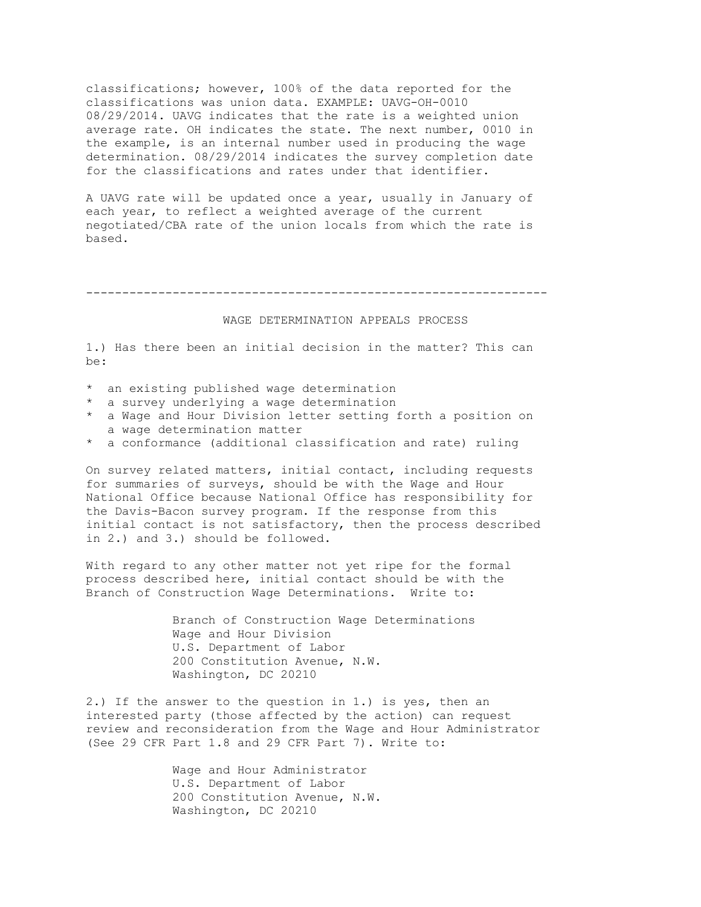classifications; however, 100% of the data reported for the classifications was union data. EXAMPLE: UAVG-OH-0010 08/29/2014. UAVG indicates that the rate is a weighted union average rate. OH indicates the state. The next number, 0010 in the example, is an internal number used in producing the wage determination. 08/29/2014 indicates the survey completion date for the classifications and rates under that identifier.

A UAVG rate will be updated once a year, usually in January of each year, to reflect a weighted average of the current negotiated/CBA rate of the union locals from which the rate is based.

----------------------------------------------------------------

## WAGE DETERMINATION APPEALS PROCESS

1.) Has there been an initial decision in the matter? This can be:

- \* an existing published wage determination
- \* a survey underlying a wage determination
- \* a Wage and Hour Division letter setting forth a position on a wage determination matter
- \* a conformance (additional classification and rate) ruling

On survey related matters, initial contact, including requests for summaries of surveys, should be with the Wage and Hour National Office because National Office has responsibility for the Davis-Bacon survey program. If the response from this initial contact is not satisfactory, then the process described in 2.) and 3.) should be followed.

With regard to any other matter not yet ripe for the formal process described here, initial contact should be with the Branch of Construction Wage Determinations. Write to:

> Branch of Construction Wage Determinations Wage and Hour Division U.S. Department of Labor 200 Constitution Avenue, N.W. Washington, DC 20210

2.) If the answer to the question in 1.) is yes, then an interested party (those affected by the action) can request review and reconsideration from the Wage and Hour Administrator (See 29 CFR Part 1.8 and 29 CFR Part 7). Write to:

> Wage and Hour Administrator U.S. Department of Labor 200 Constitution Avenue, N.W. Washington, DC 20210